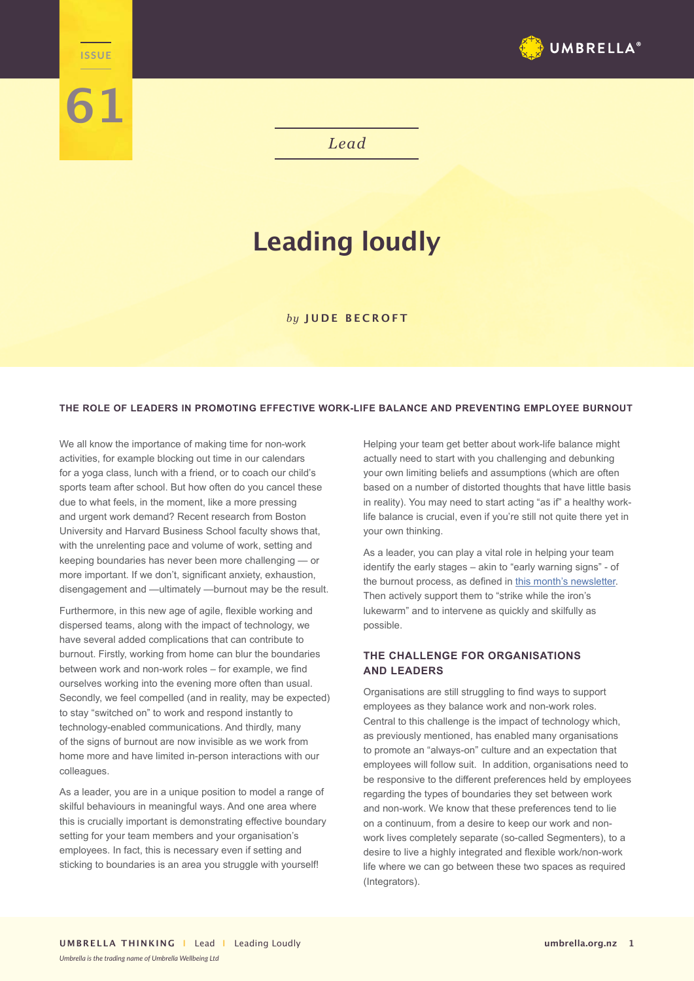

*Lead*

# **Leading loudly**

### *by* **JUDE BECROFT**

### **THE ROLE OF LEADERS IN PROMOTING EFFECTIVE WORK-LIFE BALANCE AND PREVENTING EMPLOYEE BURNOUT**

We all know the importance of making time for non-work activities, for example blocking out time in our calendars for a yoga class, lunch with a friend, or to coach our child's sports team after school. But how often do you cancel these due to what feels, in the moment, like a more pressing and urgent work demand? Recent research from Boston University and Harvard Business School faculty shows that, with the unrelenting pace and volume of work, setting and keeping boundaries has never been more challenging — or more important. If we don't, significant anxiety, exhaustion, disengagement and —ultimately —burnout may be the result.

**Lead ISSUE**

**61**

Furthermore, in this new age of agile, flexible working and dispersed teams, along with the impact of technology, we have several added complications that can contribute to burnout. Firstly, working from home can blur the boundaries between work and non-work roles – for example, we find ourselves working into the evening more often than usual. Secondly, we feel compelled (and in reality, may be expected) to stay "switched on" to work and respond instantly to technology-enabled communications. And thirdly, many of the signs of burnout are now invisible as we work from home more and have limited in-person interactions with our colleagues.

As a leader, you are in a unique position to model a range of skilful behaviours in meaningful ways. And one area where this is crucially important is demonstrating effective boundary setting for your team members and your organisation's employees. In fact, this is necessary even if setting and sticking to boundaries is an area you struggle with yourself!

Helping your team get better about work-life balance might actually need to start with you challenging and debunking your own limiting beliefs and assumptions (which are often based on a number of distorted thoughts that have little basis in reality). You may need to start acting "as if" a healthy worklife balance is crucial, even if you're still not quite there yet in your own thinking.

As a leader, you can play a vital role in helping your team identify the early stages – akin to "early warning signs" - of the burnout process, as defined in [this month's newsletter](https://umbrella.org.nz/burnout-at-work/). Then actively support them to "strike while the iron's lukewarm" and to intervene as quickly and skilfully as possible.

# **THE CHALLENGE FOR ORGANISATIONS AND LEADERS**

Organisations are still struggling to find ways to support employees as they balance work and non-work roles. Central to this challenge is the impact of technology which, as previously mentioned, has enabled many organisations to promote an "always-on" culture and an expectation that employees will follow suit. In addition, organisations need to be responsive to the different preferences held by employees regarding the types of boundaries they set between work and non-work. We know that these preferences tend to lie on a continuum, from a desire to keep our work and nonwork lives completely separate (so-called Segmenters), to a desire to live a highly integrated and flexible work/non-work life where we can go between these two spaces as required (Integrators).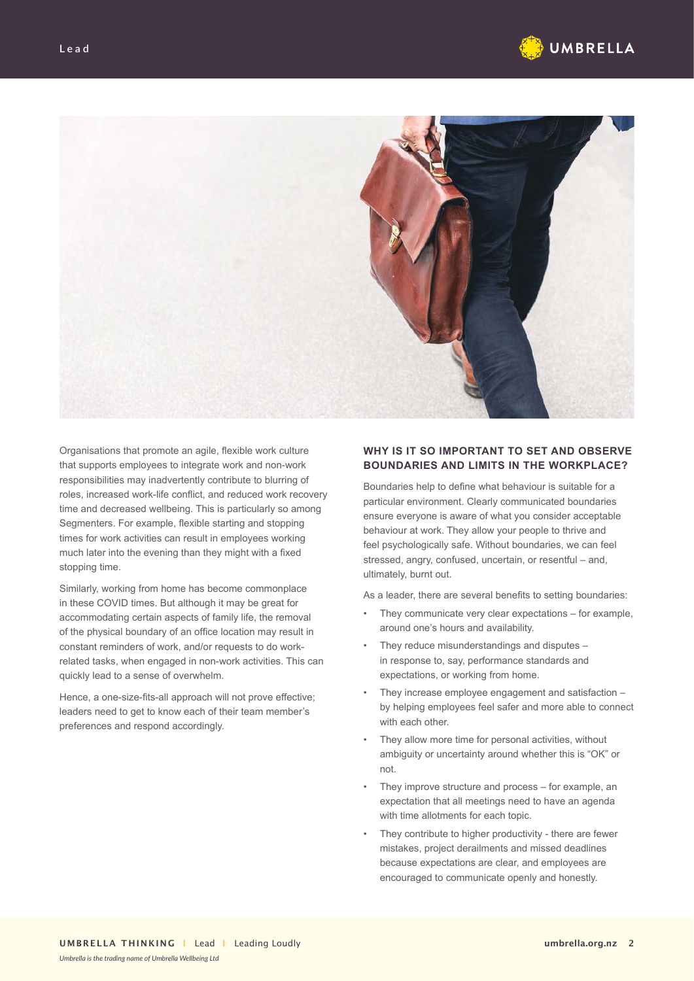



Organisations that promote an agile, flexible work culture that supports employees to integrate work and non-work responsibilities may inadvertently contribute to blurring of roles, increased work-life conflict, and reduced work recovery time and decreased wellbeing. This is particularly so among Segmenters. For example, flexible starting and stopping times for work activities can result in employees working much later into the evening than they might with a fixed stopping time.

Similarly, working from home has become commonplace in these COVID times. But although it may be great for accommodating certain aspects of family life, the removal of the physical boundary of an office location may result in constant reminders of work, and/or requests to do workrelated tasks, when engaged in non-work activities. This can quickly lead to a sense of overwhelm.

Hence, a one-size-fits-all approach will not prove effective; leaders need to get to know each of their team member's preferences and respond accordingly.

## **WHY IS IT SO IMPORTANT TO SET AND OBSERVE BOUNDARIES AND LIMITS IN THE WORKPLACE?**

Boundaries help to define what behaviour is suitable for a particular environment. Clearly communicated boundaries ensure everyone is aware of what you consider acceptable behaviour at work. They allow your people to thrive and feel psychologically safe. Without boundaries, we can feel stressed, angry, confused, uncertain, or resentful – and, ultimately, burnt out.

As a leader, there are several benefits to setting boundaries:

- They communicate very clear expectations for example, around one's hours and availability.
- They reduce misunderstandings and disputes in response to, say, performance standards and expectations, or working from home.
- They increase employee engagement and satisfaction by helping employees feel safer and more able to connect with each other.
- They allow more time for personal activities, without ambiguity or uncertainty around whether this is "OK" or not.
- They improve structure and process for example, an expectation that all meetings need to have an agenda with time allotments for each topic.
- They contribute to higher productivity there are fewer mistakes, project derailments and missed deadlines because expectations are clear, and employees are encouraged to communicate openly and honestly.